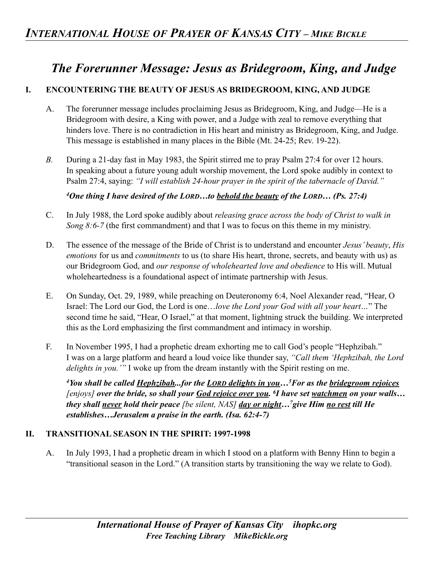# *The Forerunner Message: Jesus as Bridegroom, King, and Judge*

# **I. ENCOUNTERING THE BEAUTY OF JESUS AS BRIDEGROOM, KING, AND JUDGE**

- A. The forerunner message includes proclaiming Jesus as Bridegroom, King, and Judge—He is a Bridegroom with desire, a King with power, and a Judge with zeal to remove everything that hinders love. There is no contradiction in His heart and ministry as Bridegroom, King, and Judge. This message is established in many places in the Bible (Mt. 24-25; Rev. 19-22).
- *B.* During a 21-day fast in May 1983, the Spirit stirred me to pray Psalm 27:4 for over 12 hours. In speaking about a future young adult worship movement, the Lord spoke audibly in context to Psalm 27:4, saying: *"I will establish 24-hour prayer in the spirit of the tabernacle of David."*

*4One thing I have desired of the LORD…to behold the beauty of the LORD… (Ps. 27:4)* 

- C. In July 1988, the Lord spoke audibly about *releasing grace across the body of Christ to walk in Song 8:6-7* (the first commandment) and that I was to focus on this theme in my ministry.
- D. The essence of the message of the Bride of Christ is to understand and encounter *Jesus' beauty*, *His emotions* for us and *commitments* to us (to share His heart, throne, secrets, and beauty with us) as our Bridegroom God, and *our response of wholehearted love and obedience* to His will. Mutual wholeheartedness is a foundational aspect of intimate partnership with Jesus.
- E. On Sunday, Oct. 29, 1989, while preaching on Deuteronomy 6:4, Noel Alexander read, "Hear, O Israel: The Lord our God, the Lord is one…*love the Lord your God with all your heart…*" The second time he said, "Hear, O Israel," at that moment, lightning struck the building. We interpreted this as the Lord emphasizing the first commandment and intimacy in worship.
- F. In November 1995, I had a prophetic dream exhorting me to call God's people "Hephzibah." I was on a large platform and heard a loud voice like thunder say, *"Call them 'Hephzibah, the Lord delights in you.'"* I woke up from the dream instantly with the Spirit resting on me.

*4You shall be called Hephzibah...for the LORD delights in you…5For as the bridegroom rejoices [enjoys] over the bride, so shall your God rejoice over you. 6I have set watchmen on your walls… they shall never hold their peace [be silent, NAS] day or night…7give Him no rest till He establishes…Jerusalem a praise in the earth. (Isa. 62:4-7)* 

#### **II. TRANSITIONAL SEASON IN THE SPIRIT: 1997-1998**

A. In July 1993, I had a prophetic dream in which I stood on a platform with Benny Hinn to begin a "transitional season in the Lord." (A transition starts by transitioning the way we relate to God).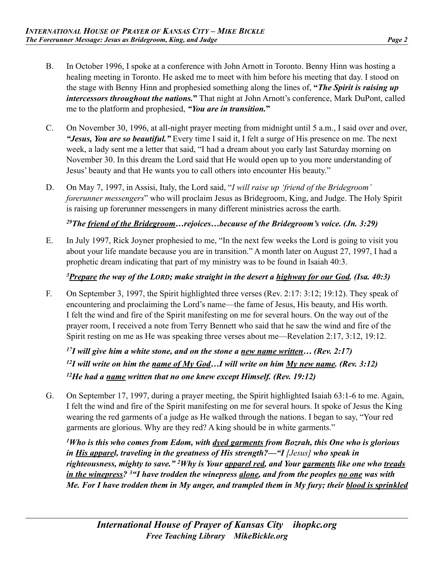- B. In October 1996, I spoke at a conference with John Arnott in Toronto. Benny Hinn was hosting a healing meeting in Toronto. He asked me to meet with him before his meeting that day. I stood on the stage with Benny Hinn and prophesied something along the lines of, **"***The Spirit is raising up intercessors throughout the nations.***"** That night at John Arnott's conference, Mark DuPont, called me to the platform and prophesied, *"You are in transition.***"**
- C. On November 30, 1996, at all-night prayer meeting from midnight until 5 a.m., I said over and over, *"Jesus, You are so beautiful."* Every time I said it, I felt a surge of His presence on me. The next week, a lady sent me a letter that said, "I had a dream about you early last Saturday morning on November 30. In this dream the Lord said that He would open up to you more understanding of Jesus' beauty and that He wants you to call others into encounter His beauty."
- D. On May 7, 1997, in Assisi, Italy, the Lord said, "*I will raise up 'friend of the Bridegroom' forerunner messengers*" who will proclaim Jesus as Bridegroom, King, and Judge. The Holy Spirit is raising up forerunner messengers in many different ministries across the earth.

### *29The friend of the Bridegroom…rejoices…because of the Bridegroom's voice. (Jn. 3:29)*

E. In July 1997, Rick Joyner prophesied to me, "In the next few weeks the Lord is going to visit you about your life mandate because you are in transition." A month later on August 27, 1997, I had a prophetic dream indicating that part of my ministry was to be found in Isaiah 40:3.

#### *3Prepare the way of the LORD; make straight in the desert a highway for our God. (Isa. 40:3)*

F. On September 3, 1997, the Spirit highlighted three verses (Rev. 2:17: 3:12; 19:12). They speak of encountering and proclaiming the Lord's name—the fame of Jesus, His beauty, and His worth. I felt the wind and fire of the Spirit manifesting on me for several hours. On the way out of the prayer room, I received a note from Terry Bennett who said that he saw the wind and fire of the Spirit resting on me as He was speaking three verses about me—Revelation 2:17, 3:12, 19:12.

*17I will give him a white stone, and on the stone a new name written… (Rev. 2:17)*  <sup>12</sup>*I* will write on him the <u>name of My God</u>...*I* will write on him  $My$  new name. (Rev. 3:12) *12He had a name written that no one knew except Himself. (Rev. 19:12)* 

G. On September 17, 1997, during a prayer meeting, the Spirit highlighted Isaiah 63:1-6 to me. Again, I felt the wind and fire of the Spirit manifesting on me for several hours. It spoke of Jesus the King wearing the red garments of a judge as He walked through the nations. I began to say, "Your red garments are glorious. Why are they red? A king should be in white garments."

*1Who is this who comes from Edom, with dyed garments from Bozrah, this One who is glorious in His apparel, traveling in the greatness of His strength?—"I [Jesus]* who speak in *righteousness, mighty to save." 2Why is Your apparel red, and Your garments like one who treads in the winepress? 3"I have trodden the winepress alone, and from the peoples no one was with Me. For I have trodden them in My anger, and trampled them in My fury; their blood is sprinkled*